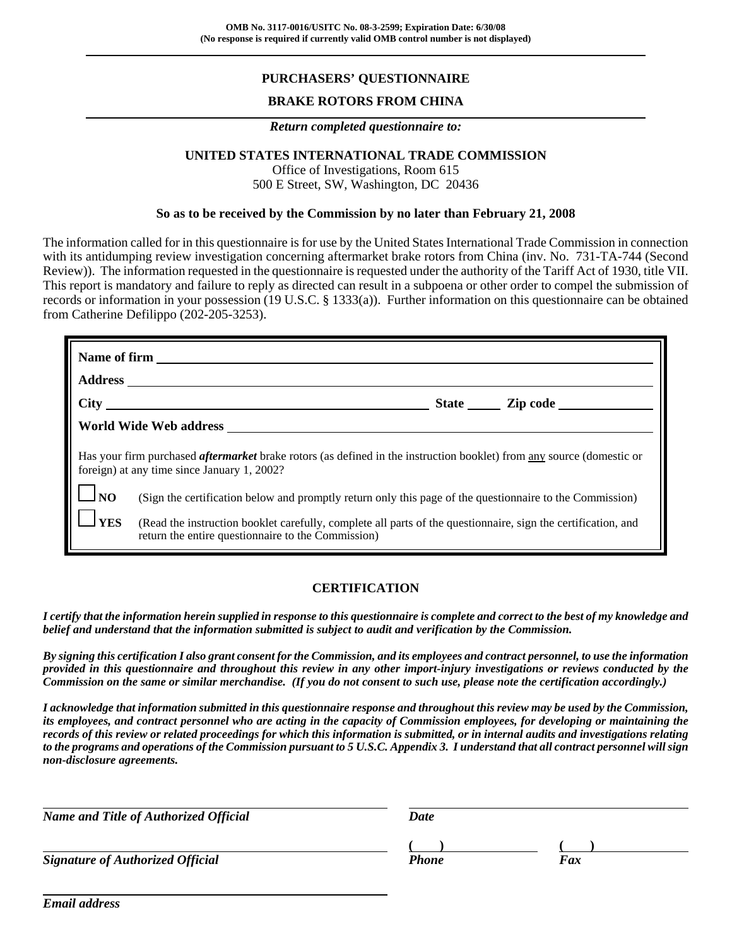# **PURCHASERS' QUESTIONNAIRE**

## **BRAKE ROTORS FROM CHINA**

#### *Return completed questionnaire to:*

### **UNITED STATES INTERNATIONAL TRADE COMMISSION**

Office of Investigations, Room 615 500 E Street, SW, Washington, DC 20436

#### **So as to be received by the Commission by no later than February 21, 2008**

The information called for in this questionnaire is for use by the United States International Trade Commission in connection with its antidumping review investigation concerning aftermarket brake rotors from China (inv. No. 731-TA-744 (Second Review)). The information requested in the questionnaire is requested under the authority of the Tariff Act of 1930, title VII. This report is mandatory and failure to reply as directed can result in a subpoena or other order to compel the submission of records or information in your possession (19 U.S.C. § 1333(a)). Further information on this questionnaire can be obtained from Catherine Defilippo (202-205-3253).

|            | State Zip code                                                                                                                                                              |
|------------|-----------------------------------------------------------------------------------------------------------------------------------------------------------------------------|
|            |                                                                                                                                                                             |
|            | Has your firm purchased <i>aftermarket</i> brake rotors (as defined in the instruction booklet) from any source (domestic or<br>foreign) at any time since January 1, 2002? |
| <b>JNO</b> | (Sign the certification below and promptly return only this page of the questionnaire to the Commission)                                                                    |
| <b>YES</b> | (Read the instruction booklet carefully, complete all parts of the questionnaire, sign the certification, and<br>return the entire questionnaire to the Commission)         |

### **CERTIFICATION**

*I certify that the information herein supplied in response to this questionnaire is complete and correct to the best of my knowledge and belief and understand that the information submitted is subject to audit and verification by the Commission.*

*By signing this certification I also grant consent for the Commission, and its employees and contract personnel, to use the information provided in this questionnaire and throughout this review in any other import-injury investigations or reviews conducted by the Commission on the same or similar merchandise. (If you do not consent to such use, please note the certification accordingly.)*

*I acknowledge that information submitted in this questionnaire response and throughout this review may be used by the Commission, its employees, and contract personnel who are acting in the capacity of Commission employees, for developing or maintaining the records of this review or related proceedings for which this information is submitted, or in internal audits and investigations relating to the programs and operations of the Commission pursuant to 5 U.S.C. Appendix 3. I understand that all contract personnel will sign non-disclosure agreements.*

| <b>Name and Title of Authorized Official</b> | Date         |     |  |
|----------------------------------------------|--------------|-----|--|
|                                              |              |     |  |
| <b>Signature of Authorized Official</b>      | <b>Phone</b> | Fax |  |

*Email address*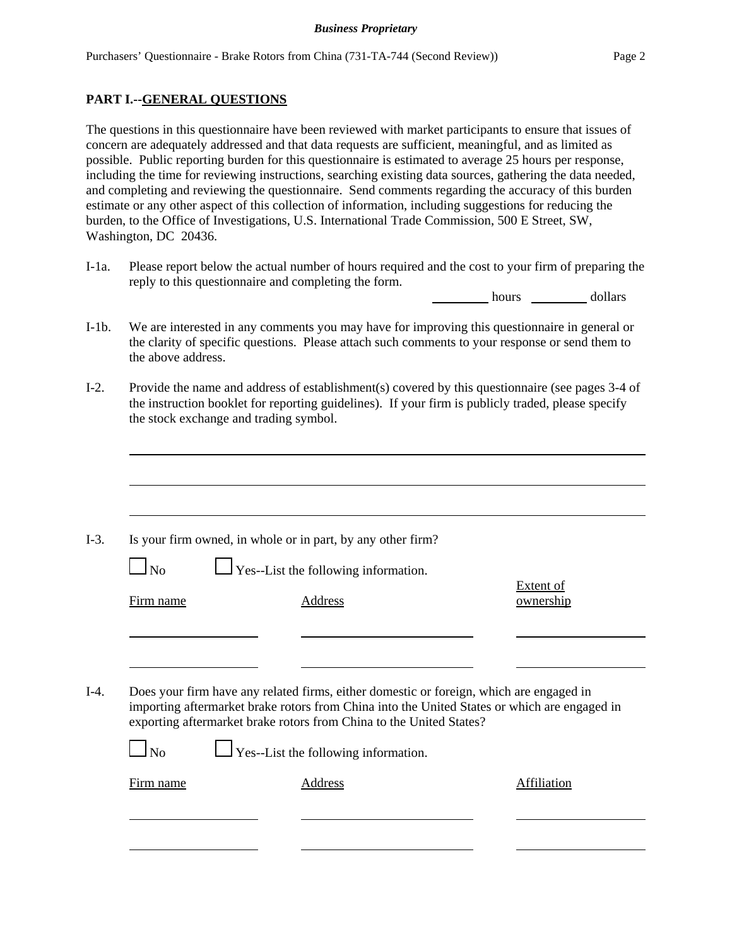## **PART I.--GENERAL QUESTIONS**

The questions in this questionnaire have been reviewed with market participants to ensure that issues of concern are adequately addressed and that data requests are sufficient, meaningful, and as limited as possible. Public reporting burden for this questionnaire is estimated to average 25 hours per response, including the time for reviewing instructions, searching existing data sources, gathering the data needed, and completing and reviewing the questionnaire. Send comments regarding the accuracy of this burden estimate or any other aspect of this collection of information, including suggestions for reducing the burden, to the Office of Investigations, U.S. International Trade Commission, 500 E Street, SW, Washington, DC 20436.

I-1a. Please report below the actual number of hours required and the cost to your firm of preparing the reply to this questionnaire and completing the form.

hours dollars

- I-1b. We are interested in any comments you may have for improving this questionnaire in general or the clarity of specific questions. Please attach such comments to your response or send them to the above address.
- I-2. Provide the name and address of establishment(s) covered by this questionnaire (see pages 3-4 of the instruction booklet for reporting guidelines). If your firm is publicly traded, please specify the stock exchange and trading symbol.

|           | Is your firm owned, in whole or in part, by any other firm?                                                                                                                                                                                                    |                               |
|-----------|----------------------------------------------------------------------------------------------------------------------------------------------------------------------------------------------------------------------------------------------------------------|-------------------------------|
| $\Box$ No | $\Box$ Yes--List the following information.                                                                                                                                                                                                                    |                               |
| Firm name | Address                                                                                                                                                                                                                                                        | <b>Extent of</b><br>ownership |
|           |                                                                                                                                                                                                                                                                |                               |
|           |                                                                                                                                                                                                                                                                |                               |
|           |                                                                                                                                                                                                                                                                |                               |
|           | Does your firm have any related firms, either domestic or foreign, which are engaged in<br>importing aftermarket brake rotors from China into the United States or which are engaged in<br>exporting aftermarket brake rotors from China to the United States? |                               |
| No        | $\Box$ Yes--List the following information.                                                                                                                                                                                                                    |                               |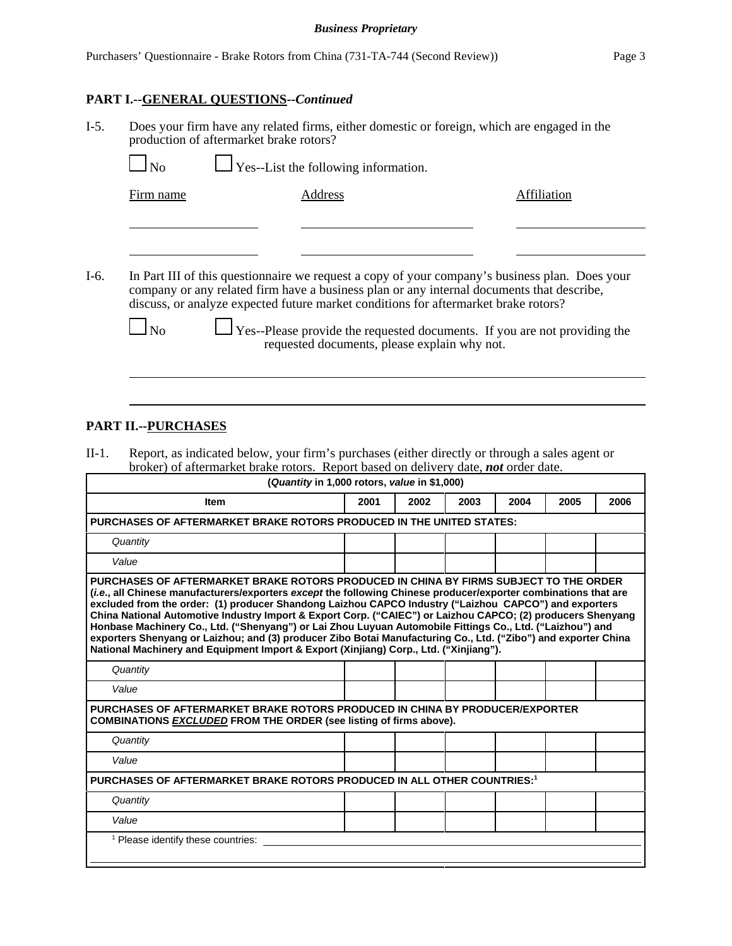# **PART I.--GENERAL QUESTIONS--***Continued*

| $I-5.$ | production of aftermarket brake rotors?<br>N <sub>0</sub> | Does your firm have any related firms, either domestic or foreign, which are engaged in the<br>$\Box$ Yes--List the following information.                                                                                                                                                                                                                                                                             |             |
|--------|-----------------------------------------------------------|------------------------------------------------------------------------------------------------------------------------------------------------------------------------------------------------------------------------------------------------------------------------------------------------------------------------------------------------------------------------------------------------------------------------|-------------|
|        | Firm name                                                 | Address                                                                                                                                                                                                                                                                                                                                                                                                                | Affiliation |
| $I-6.$ |                                                           | In Part III of this questionnaire we request a copy of your company's business plan. Does your<br>company or any related firm have a business plan or any internal documents that describe,<br>discuss, or analyze expected future market conditions for aftermarket brake rotors?<br>$\Box$ Yes--Please provide the requested documents. If you are not providing the<br>requested documents, please explain why not. |             |

## **PART II.--PURCHASES**

II-1. Report, as indicated below, your firm's purchases (either directly or through a sales agent or broker) of aftermarket brake rotors. Report based on delivery date, *not* order date.  $\Gamma$ **(***Quantity* **in 1,000 rotors,** *value* **in \$1,000)**

| ( <i>Quantity</i> in 1,000 rotors, <i>value</i> in \$1,000)                                                                                                                                                                                                                                                                                                                                                                                                                                                                                                                                                                                                                                                                                                     |      |      |      |      |      |      |
|-----------------------------------------------------------------------------------------------------------------------------------------------------------------------------------------------------------------------------------------------------------------------------------------------------------------------------------------------------------------------------------------------------------------------------------------------------------------------------------------------------------------------------------------------------------------------------------------------------------------------------------------------------------------------------------------------------------------------------------------------------------------|------|------|------|------|------|------|
| <b>Item</b>                                                                                                                                                                                                                                                                                                                                                                                                                                                                                                                                                                                                                                                                                                                                                     | 2001 | 2002 | 2003 | 2004 | 2005 | 2006 |
| PURCHASES OF AFTERMARKET BRAKE ROTORS PRODUCED IN THE UNITED STATES:                                                                                                                                                                                                                                                                                                                                                                                                                                                                                                                                                                                                                                                                                            |      |      |      |      |      |      |
| Quantity                                                                                                                                                                                                                                                                                                                                                                                                                                                                                                                                                                                                                                                                                                                                                        |      |      |      |      |      |      |
| Value                                                                                                                                                                                                                                                                                                                                                                                                                                                                                                                                                                                                                                                                                                                                                           |      |      |      |      |      |      |
| PURCHASES OF AFTERMARKET BRAKE ROTORS PRODUCED IN CHINA BY FIRMS SUBJECT TO THE ORDER<br><i>(i.e., all Chinese manufacturers/exporters except the following Chinese producer/exporter combinations that are</i><br>excluded from the order: (1) producer Shandong Laizhou CAPCO Industry ("Laizhou CAPCO") and exporters<br>China National Automotive Industry Import & Export Corp. ("CAIEC") or Laizhou CAPCO; (2) producers Shenyang<br>Honbase Machinery Co., Ltd. ("Shenyang") or Lai Zhou Luyuan Automobile Fittings Co., Ltd. ("Laizhou") and<br>exporters Shenyang or Laizhou; and (3) producer Zibo Botai Manufacturing Co., Ltd. ("Zibo") and exporter China<br>National Machinery and Equipment Import & Export (Xinjiang) Corp., Ltd. ("Xinjiang"). |      |      |      |      |      |      |
| Quantity                                                                                                                                                                                                                                                                                                                                                                                                                                                                                                                                                                                                                                                                                                                                                        |      |      |      |      |      |      |
| Value                                                                                                                                                                                                                                                                                                                                                                                                                                                                                                                                                                                                                                                                                                                                                           |      |      |      |      |      |      |
| PURCHASES OF AFTERMARKET BRAKE ROTORS PRODUCED IN CHINA BY PRODUCER/EXPORTER<br><b>COMBINATIONS EXCLUDED FROM THE ORDER (see listing of firms above).</b>                                                                                                                                                                                                                                                                                                                                                                                                                                                                                                                                                                                                       |      |      |      |      |      |      |
| Quantity                                                                                                                                                                                                                                                                                                                                                                                                                                                                                                                                                                                                                                                                                                                                                        |      |      |      |      |      |      |
| Value                                                                                                                                                                                                                                                                                                                                                                                                                                                                                                                                                                                                                                                                                                                                                           |      |      |      |      |      |      |
| PURCHASES OF AFTERMARKET BRAKE ROTORS PRODUCED IN ALL OTHER COUNTRIES:1                                                                                                                                                                                                                                                                                                                                                                                                                                                                                                                                                                                                                                                                                         |      |      |      |      |      |      |
| Quantity                                                                                                                                                                                                                                                                                                                                                                                                                                                                                                                                                                                                                                                                                                                                                        |      |      |      |      |      |      |
| Value                                                                                                                                                                                                                                                                                                                                                                                                                                                                                                                                                                                                                                                                                                                                                           |      |      |      |      |      |      |
| <sup>1</sup> Please identify these countries:                                                                                                                                                                                                                                                                                                                                                                                                                                                                                                                                                                                                                                                                                                                   |      |      |      |      |      |      |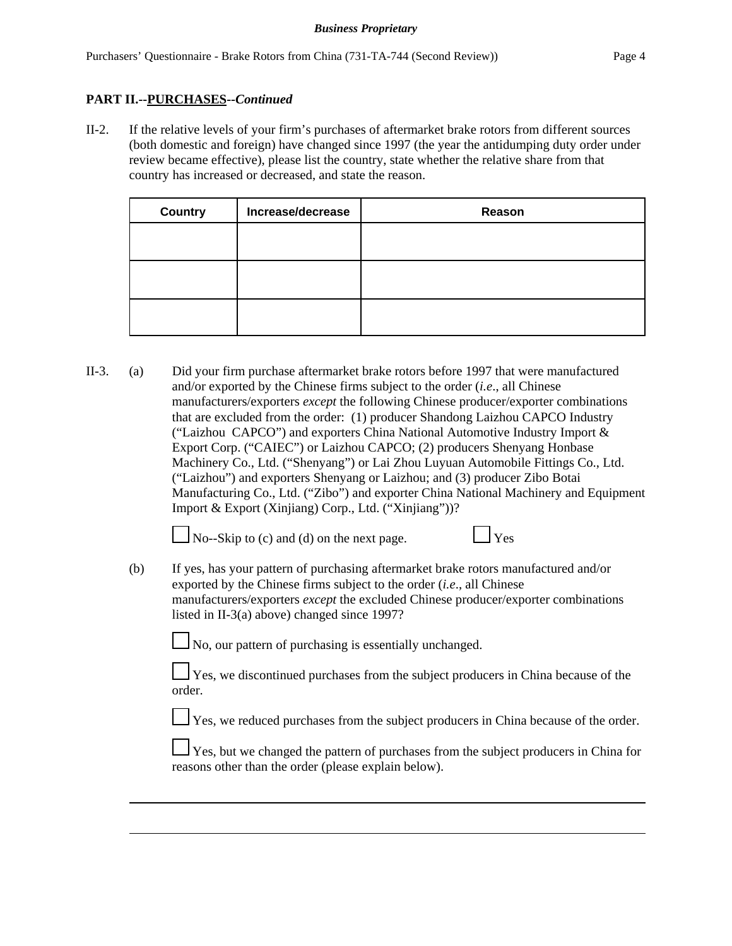## **PART II.--PURCHASES--***Continued*

II-2. If the relative levels of your firm's purchases of aftermarket brake rotors from different sources (both domestic and foreign) have changed since 1997 (the year the antidumping duty order under review became effective), please list the country, state whether the relative share from that country has increased or decreased, and state the reason.

| <b>Country</b> | Increase/decrease | Reason |
|----------------|-------------------|--------|
|                |                   |        |
|                |                   |        |
|                |                   |        |
|                |                   |        |
|                |                   |        |
|                |                   |        |

II-3. (a) Did your firm purchase aftermarket brake rotors before 1997 that were manufactured and/or exported by the Chinese firms subject to the order (*i.e*., all Chinese manufacturers/exporters *except* the following Chinese producer/exporter combinations that are excluded from the order: (1) producer Shandong Laizhou CAPCO Industry ("Laizhou CAPCO") and exporters China National Automotive Industry Import & Export Corp. ("CAIEC") or Laizhou CAPCO; (2) producers Shenyang Honbase Machinery Co., Ltd. ("Shenyang") or Lai Zhou Luyuan Automobile Fittings Co., Ltd. ("Laizhou") and exporters Shenyang or Laizhou; and (3) producer Zibo Botai Manufacturing Co., Ltd. ("Zibo") and exporter China National Machinery and Equipment Import & Export (Xinjiang) Corp., Ltd. ("Xinjiang"))?

 $\Box$  No--Skip to (c) and (d) on the next page.  $\Box$  Yes



(b) If yes, has your pattern of purchasing aftermarket brake rotors manufactured and/or exported by the Chinese firms subject to the order (*i.e*., all Chinese manufacturers/exporters *except* the excluded Chinese producer/exporter combinations listed in II-3(a) above) changed since 1997?

No, our pattern of purchasing is essentially unchanged.

Yes, we discontinued purchases from the subject producers in China because of the order.

Yes, we reduced purchases from the subject producers in China because of the order.

 $\perp$  Yes, but we changed the pattern of purchases from the subject producers in China for reasons other than the order (please explain below).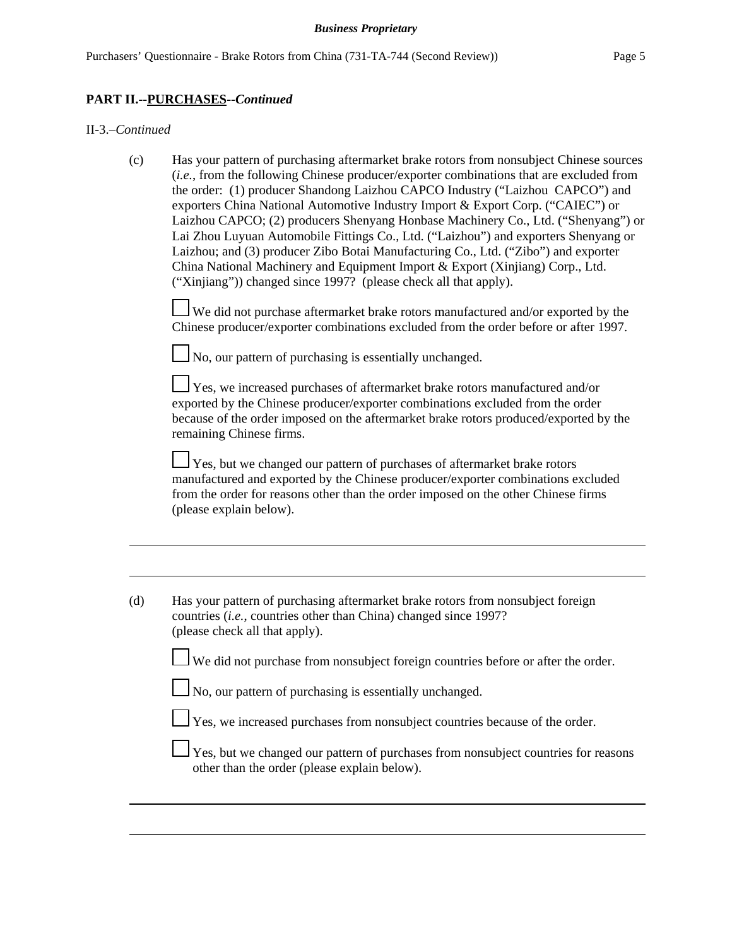### **PART II.--PURCHASES--***Continued*

#### II-3.–*Continued*

(c) Has your pattern of purchasing aftermarket brake rotors from nonsubject Chinese sources (*i.e.*, from the following Chinese producer/exporter combinations that are excluded from the order: (1) producer Shandong Laizhou CAPCO Industry ("Laizhou CAPCO") and exporters China National Automotive Industry Import & Export Corp. ("CAIEC") or Laizhou CAPCO; (2) producers Shenyang Honbase Machinery Co., Ltd. ("Shenyang") or Lai Zhou Luyuan Automobile Fittings Co., Ltd. ("Laizhou") and exporters Shenyang or Laizhou; and (3) producer Zibo Botai Manufacturing Co., Ltd. ("Zibo") and exporter China National Machinery and Equipment Import & Export (Xinjiang) Corp., Ltd. ("Xinjiang")) changed since 1997? (please check all that apply).

 $\perp$  We did not purchase aftermarket brake rotors manufactured and/or exported by the Chinese producer/exporter combinations excluded from the order before or after 1997.

 $\Box$  No, our pattern of purchasing is essentially unchanged.

 $\perp$  Yes, we increased purchases of aftermarket brake rotors manufactured and/or exported by the Chinese producer/exporter combinations excluded from the order because of the order imposed on the aftermarket brake rotors produced/exported by the remaining Chinese firms.

Yes, but we changed our pattern of purchases of aftermarket brake rotors manufactured and exported by the Chinese producer/exporter combinations excluded from the order for reasons other than the order imposed on the other Chinese firms (please explain below).

| (d) | Has your pattern of purchasing aftermarket brake rotors from nonsubject foreign<br>countries <i>(i.e., countries other than China)</i> changed since 1997?<br>(please check all that apply). |
|-----|----------------------------------------------------------------------------------------------------------------------------------------------------------------------------------------------|
|     | We did not purchase from nonsubject foreign countries before or after the order.                                                                                                             |
|     | $\Box$ No, our pattern of purchasing is essentially unchanged.                                                                                                                               |
|     | $\Box$ Yes, we increased purchases from nonsubject countries because of the order.                                                                                                           |
|     | $\perp$ Yes, but we changed our pattern of purchases from nonsubject countries for reasons<br>other than the order (please explain below).                                                   |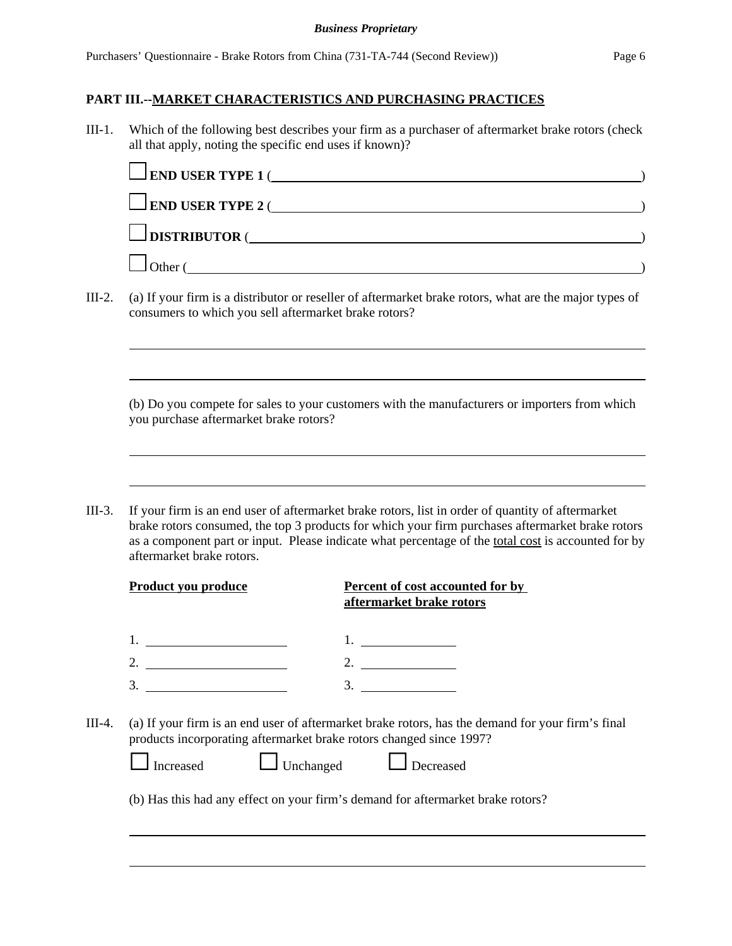III-1. Which of the following best describes your firm as a purchaser of aftermarket brake rotors (check all that apply, noting the specific end uses if known)?

| $\Box$ END USER TYPE 1 ( |  |
|--------------------------|--|
| $\Box$ END USER TYPE 2 ( |  |
| $\Box$ DISTRIBUTOR (     |  |
| <b>Other</b>             |  |

III-2. (a) If your firm is a distributor or reseller of aftermarket brake rotors, what are the major types of consumers to which you sell aftermarket brake rotors?

(b) Do you compete for sales to your customers with the manufacturers or importers from which you purchase aftermarket brake rotors?

III-3. If your firm is an end user of aftermarket brake rotors, list in order of quantity of aftermarket brake rotors consumed, the top 3 products for which your firm purchases aftermarket brake rotors as a component part or input. Please indicate what percentage of the total cost is accounted for by aftermarket brake rotors.

| Product you produce                                                              | Percent of cost accounted for by<br>aftermarket brake rotors                                                                                                                                                         |
|----------------------------------------------------------------------------------|----------------------------------------------------------------------------------------------------------------------------------------------------------------------------------------------------------------------|
|                                                                                  | <u> Alexandria (Carlo Carlo Carlo Carlo Carlo Carlo Carlo Carlo Carlo Carlo Carlo Carlo Carlo Carlo Carlo Carlo Ca</u>                                                                                               |
| 2. $\qquad \qquad$                                                               | 2. $\qquad \qquad$                                                                                                                                                                                                   |
| 3.                                                                               | 3.                                                                                                                                                                                                                   |
| products incorporating aftermarket brake rotors changed since 1997?<br>Increased | (a) If your firm is an end user of aftermarket brake rotors, has the demand for your firm's final<br>Unchanged <u>L</u> Decreased<br>(b) Has this had any effect on your firm's demand for aftermarket brake rotors? |
|                                                                                  |                                                                                                                                                                                                                      |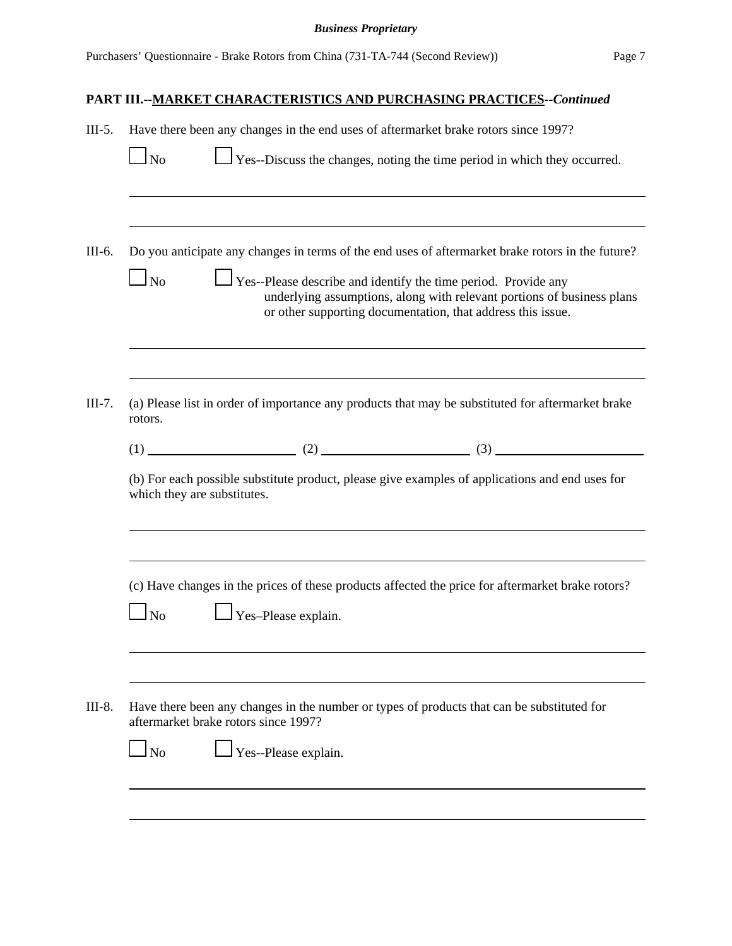| $III-5.$ | Have there been any changes in the end uses of aftermarket brake rotors since 1997?                                                                                                                                         |
|----------|-----------------------------------------------------------------------------------------------------------------------------------------------------------------------------------------------------------------------------|
|          | $\Box$ Yes--Discuss the changes, noting the time period in which they occurred.<br>$\Box$ No                                                                                                                                |
| III-6.   | Do you anticipate any changes in terms of the end uses of aftermarket brake rotors in the future?                                                                                                                           |
|          | $\Box$ No<br>$\Box$ Yes--Please describe and identify the time period. Provide any<br>underlying assumptions, along with relevant portions of business plans<br>or other supporting documentation, that address this issue. |
| $III-7.$ | (a) Please list in order of importance any products that may be substituted for aftermarket brake<br>rotors.                                                                                                                |
|          |                                                                                                                                                                                                                             |
|          | (b) For each possible substitute product, please give examples of applications and end uses for<br>which they are substitutes.                                                                                              |
|          | (c) Have changes in the prices of these products affected the price for aftermarket brake rotors?                                                                                                                           |
|          | $\perp$ Yes-Please explain.<br>$\overline{\rm ~No}$                                                                                                                                                                         |
| III-8.   | Have there been any changes in the number or types of products that can be substituted for<br>aftermarket brake rotors since 1997?                                                                                          |
|          | Yes--Please explain.<br>$\overline{\text{No}}$                                                                                                                                                                              |
|          |                                                                                                                                                                                                                             |
|          |                                                                                                                                                                                                                             |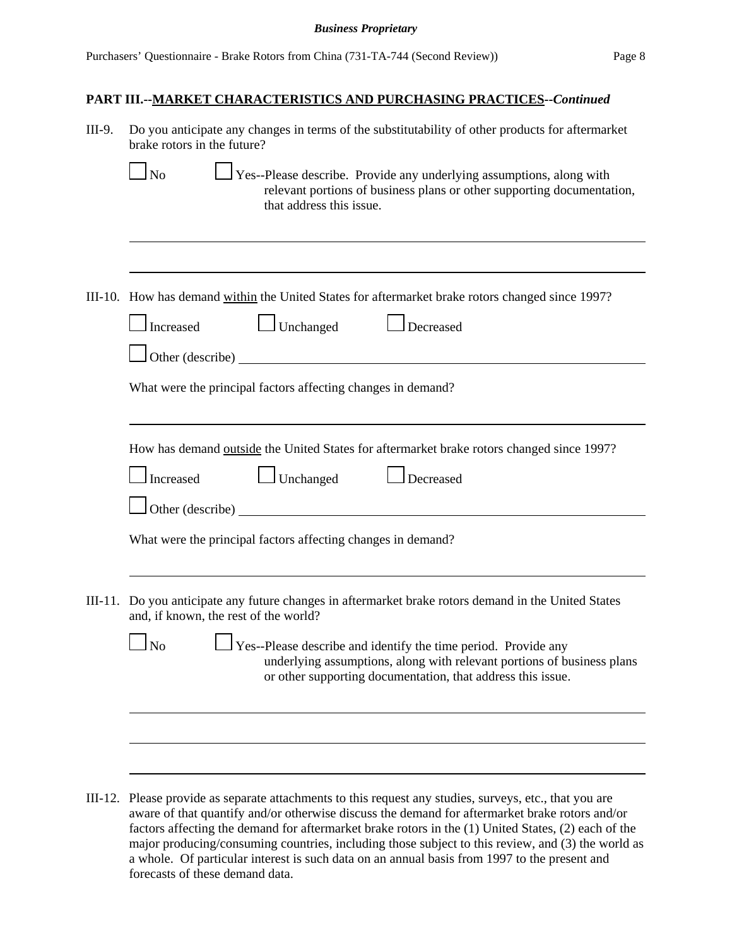| III-9.  | Do you anticipate any changes in terms of the substitutability of other products for aftermarket<br>brake rotors in the future?                                                                                                                                                                                                                                                                               |  |
|---------|---------------------------------------------------------------------------------------------------------------------------------------------------------------------------------------------------------------------------------------------------------------------------------------------------------------------------------------------------------------------------------------------------------------|--|
|         | Yes--Please describe. Provide any underlying assumptions, along with<br>$\log$<br>relevant portions of business plans or other supporting documentation,<br>that address this issue.                                                                                                                                                                                                                          |  |
|         |                                                                                                                                                                                                                                                                                                                                                                                                               |  |
|         | III-10. How has demand within the United States for aftermarket brake rotors changed since 1997?                                                                                                                                                                                                                                                                                                              |  |
|         | $\Box$ Unchanged<br>$\Box$ Decreased<br>Increased                                                                                                                                                                                                                                                                                                                                                             |  |
|         | $\Box$ Other (describe) $\Box$                                                                                                                                                                                                                                                                                                                                                                                |  |
|         | What were the principal factors affecting changes in demand?                                                                                                                                                                                                                                                                                                                                                  |  |
|         |                                                                                                                                                                                                                                                                                                                                                                                                               |  |
|         | How has demand outside the United States for aftermarket brake rotors changed since 1997?<br>$\Box$ Unchanged<br>$\Box$ Decreased<br>$\Box$ Increased                                                                                                                                                                                                                                                         |  |
|         | Other (describe)                                                                                                                                                                                                                                                                                                                                                                                              |  |
|         | What were the principal factors affecting changes in demand?                                                                                                                                                                                                                                                                                                                                                  |  |
|         |                                                                                                                                                                                                                                                                                                                                                                                                               |  |
| III-11. | Do you anticipate any future changes in aftermarket brake rotors demand in the United States<br>and, if known, the rest of the world?                                                                                                                                                                                                                                                                         |  |
|         | $\perp$ Yes--Please describe and identify the time period. Provide any<br>No<br>underlying assumptions, along with relevant portions of business plans<br>or other supporting documentation, that address this issue.                                                                                                                                                                                         |  |
|         |                                                                                                                                                                                                                                                                                                                                                                                                               |  |
|         |                                                                                                                                                                                                                                                                                                                                                                                                               |  |
| III-12. | Please provide as separate attachments to this request any studies, surveys, etc., that you are<br>aware of that quantify and/or otherwise discuss the demand for aftermarket brake rotors and/or<br>factors affecting the demand for aftermarket brake rotors in the (1) United States, (2) each of the<br>major producing/consuming countries, including those subject to this review, and (3) the world as |  |

a whole. Of particular interest is such data on an annual basis from 1997 to the present and

forecasts of these demand data.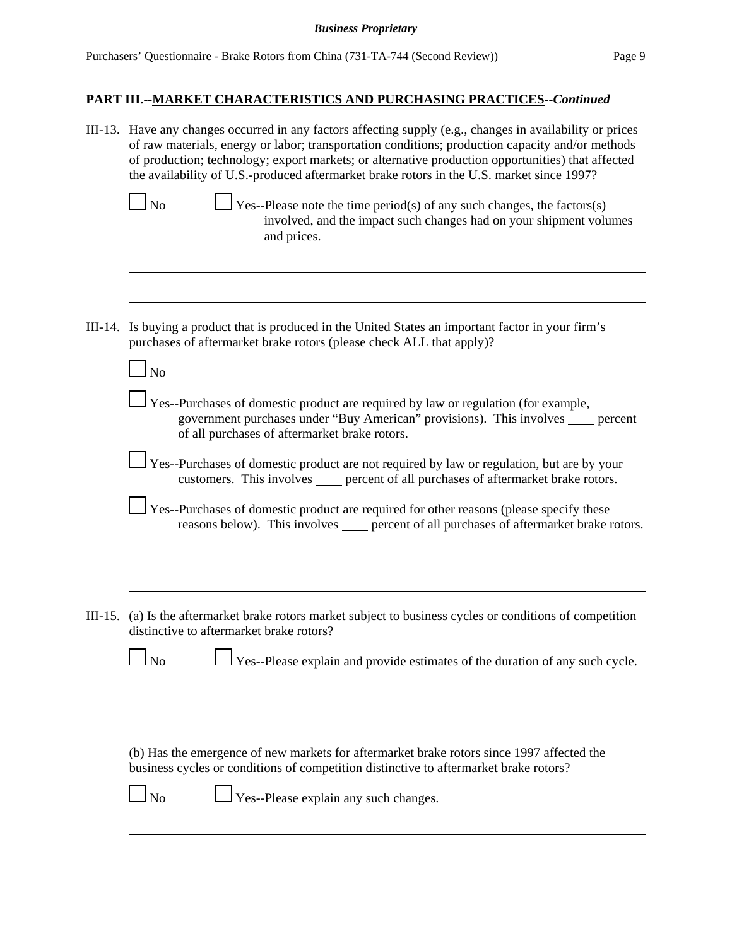| III-13. Have any changes occurred in any factors affecting supply (e.g., changes in availability or prices<br>of raw materials, energy or labor; transportation conditions; production capacity and/or methods<br>of production; technology; export markets; or alternative production opportunities) that affected<br>the availability of U.S.-produced aftermarket brake rotors in the U.S. market since 1997? |
|------------------------------------------------------------------------------------------------------------------------------------------------------------------------------------------------------------------------------------------------------------------------------------------------------------------------------------------------------------------------------------------------------------------|
| $\Box$ Yes--Please note the time period(s) of any such changes, the factors(s)<br>$\ln$<br>involved, and the impact such changes had on your shipment volumes<br>and prices.                                                                                                                                                                                                                                     |
|                                                                                                                                                                                                                                                                                                                                                                                                                  |
| III-14. Is buying a product that is produced in the United States an important factor in your firm's<br>purchases of aftermarket brake rotors (please check ALL that apply)?                                                                                                                                                                                                                                     |
| $\overline{\text{No}}$                                                                                                                                                                                                                                                                                                                                                                                           |
| Yes--Purchases of domestic product are required by law or regulation (for example,<br>government purchases under "Buy American" provisions). This involves ____ percent<br>of all purchases of aftermarket brake rotors.                                                                                                                                                                                         |
| Yes--Purchases of domestic product are not required by law or regulation, but are by your<br>customers. This involves _____ percent of all purchases of aftermarket brake rotors.                                                                                                                                                                                                                                |
| Yes--Purchases of domestic product are required for other reasons (please specify these<br>reasons below). This involves _____ percent of all purchases of aftermarket brake rotors.                                                                                                                                                                                                                             |
|                                                                                                                                                                                                                                                                                                                                                                                                                  |
| III-15. (a) Is the aftermarket brake rotors market subject to business cycles or conditions of competition<br>distinctive to aftermarket brake rotors?                                                                                                                                                                                                                                                           |
| Yes--Please explain and provide estimates of the duration of any such cycle.<br>$\mathbf{\underline{1}}$ No                                                                                                                                                                                                                                                                                                      |
|                                                                                                                                                                                                                                                                                                                                                                                                                  |
| (b) Has the emergence of new markets for aftermarket brake rotors since 1997 affected the<br>business cycles or conditions of competition distinctive to aftermarket brake rotors?                                                                                                                                                                                                                               |
| Yes--Please explain any such changes.<br>$\ln$                                                                                                                                                                                                                                                                                                                                                                   |
|                                                                                                                                                                                                                                                                                                                                                                                                                  |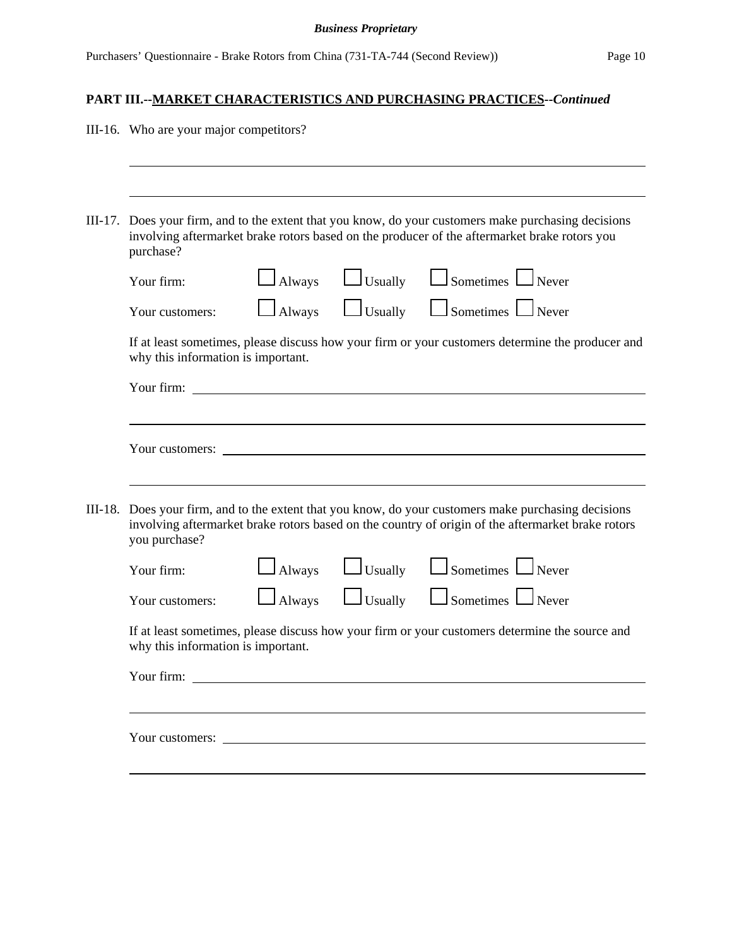|  |                                                                                                                                                                                                                                      |                                                                                                                                        |  | <u>MARRET CHARACTERID HCD AND I URCHADING I RACTICED</u> |  |  |
|--|--------------------------------------------------------------------------------------------------------------------------------------------------------------------------------------------------------------------------------------|----------------------------------------------------------------------------------------------------------------------------------------|--|----------------------------------------------------------|--|--|
|  | III-16. Who are your major competitors?                                                                                                                                                                                              |                                                                                                                                        |  |                                                          |  |  |
|  |                                                                                                                                                                                                                                      |                                                                                                                                        |  |                                                          |  |  |
|  | III-17. Does your firm, and to the extent that you know, do your customers make purchasing decisions<br>involving aftermarket brake rotors based on the producer of the aftermarket brake rotors you<br>purchase?                    |                                                                                                                                        |  |                                                          |  |  |
|  | Your firm:                                                                                                                                                                                                                           | $\Box$ Always                                                                                                                          |  | $\Box$ Usually $\Box$ Sometimes $\Box$ Never             |  |  |
|  | Your customers:                                                                                                                                                                                                                      | $\Box$ Always                                                                                                                          |  | Usually <u>L</u> Sometimes Never                         |  |  |
|  |                                                                                                                                                                                                                                      | If at least sometimes, please discuss how your firm or your customers determine the producer and<br>why this information is important. |  |                                                          |  |  |
|  | Your firm: <u>the contract of the contract of the contract of the contract of the contract of the contract of the contract of the contract of the contract of the contract of the contract of the contract of the contract of th</u> |                                                                                                                                        |  |                                                          |  |  |
|  |                                                                                                                                                                                                                                      |                                                                                                                                        |  |                                                          |  |  |
|  | Your customers:                                                                                                                                                                                                                      |                                                                                                                                        |  |                                                          |  |  |
|  | III-18. Does your firm, and to the extent that you know, do your customers make purchasing decisions<br>involving aftermarket brake rotors based on the country of origin of the aftermarket brake rotors<br>you purchase?           |                                                                                                                                        |  |                                                          |  |  |
|  | Your firm:                                                                                                                                                                                                                           | $\Box$ Always                                                                                                                          |  | $\Box$ Usually $\Box$ Sometimes $\Box$ Never             |  |  |
|  | Your customers:                                                                                                                                                                                                                      |                                                                                                                                        |  |                                                          |  |  |
|  | If at least sometimes, please discuss how your firm or your customers determine the source and<br>why this information is important.                                                                                                 |                                                                                                                                        |  |                                                          |  |  |
|  |                                                                                                                                                                                                                                      |                                                                                                                                        |  |                                                          |  |  |
|  |                                                                                                                                                                                                                                      |                                                                                                                                        |  |                                                          |  |  |
|  |                                                                                                                                                                                                                                      |                                                                                                                                        |  |                                                          |  |  |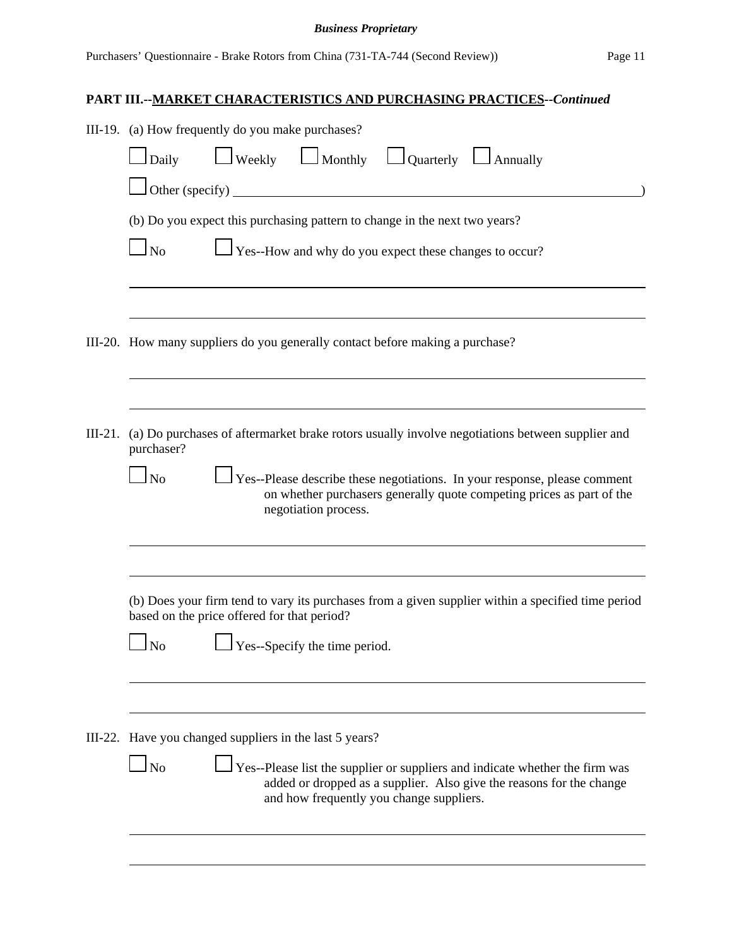|           | III-19. (a) How frequently do you make purchases?                                                                                                                                                             |  |  |  |  |  |  |
|-----------|---------------------------------------------------------------------------------------------------------------------------------------------------------------------------------------------------------------|--|--|--|--|--|--|
|           | $\Box$ Weekly $\Box$ Monthly $\Box$ Quarterly $\Box$ Annually<br>Daily                                                                                                                                        |  |  |  |  |  |  |
|           | $\Box$ Other (specify)                                                                                                                                                                                        |  |  |  |  |  |  |
|           | (b) Do you expect this purchasing pattern to change in the next two years?                                                                                                                                    |  |  |  |  |  |  |
|           | $\Box$ Yes--How and why do you expect these changes to occur?<br>$\Box$ No                                                                                                                                    |  |  |  |  |  |  |
|           |                                                                                                                                                                                                               |  |  |  |  |  |  |
|           | III-20. How many suppliers do you generally contact before making a purchase?                                                                                                                                 |  |  |  |  |  |  |
|           |                                                                                                                                                                                                               |  |  |  |  |  |  |
| $III-21.$ | (a) Do purchases of aftermarket brake rotors usually involve negotiations between supplier and<br>purchaser?                                                                                                  |  |  |  |  |  |  |
|           | Yes--Please describe these negotiations. In your response, please comment<br>$\log$<br>on whether purchasers generally quote competing prices as part of the<br>negotiation process.                          |  |  |  |  |  |  |
|           |                                                                                                                                                                                                               |  |  |  |  |  |  |
|           | (b) Does your firm tend to vary its purchases from a given supplier within a specified time period<br>based on the price offered for that period?                                                             |  |  |  |  |  |  |
|           | Yes--Specify the time period.<br>$\overline{\rm No}$                                                                                                                                                          |  |  |  |  |  |  |
|           |                                                                                                                                                                                                               |  |  |  |  |  |  |
|           | III-22. Have you changed suppliers in the last 5 years?                                                                                                                                                       |  |  |  |  |  |  |
|           | Yes--Please list the supplier or suppliers and indicate whether the firm was<br>$\Box$ No<br>added or dropped as a supplier. Also give the reasons for the change<br>and how frequently you change suppliers. |  |  |  |  |  |  |
|           |                                                                                                                                                                                                               |  |  |  |  |  |  |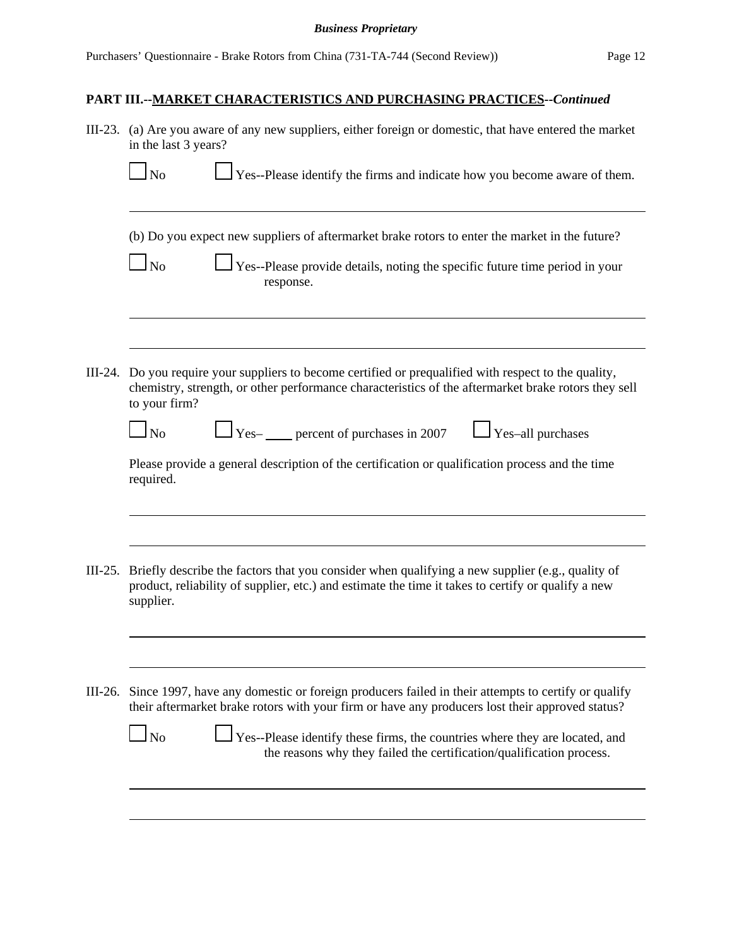|             | III-23. (a) Are you aware of any new suppliers, either foreign or domestic, that have entered the market<br>in the last 3 years?                                                                                                                                                                                                                                         |
|-------------|--------------------------------------------------------------------------------------------------------------------------------------------------------------------------------------------------------------------------------------------------------------------------------------------------------------------------------------------------------------------------|
|             | $\perp$ Yes--Please identify the firms and indicate how you become aware of them.<br>$\Box$ No                                                                                                                                                                                                                                                                           |
|             | (b) Do you expect new suppliers of aftermarket brake rotors to enter the market in the future?<br>Yes--Please provide details, noting the specific future time period in your<br>$\overline{\rm ~No}$<br>response.                                                                                                                                                       |
|             | III-24. Do you require your suppliers to become certified or prequalified with respect to the quality,<br>chemistry, strength, or other performance characteristics of the aftermarket brake rotors they sell<br>to your firm?                                                                                                                                           |
|             | $\sqrt{\frac{1}{1-\text{Yes-}}$ percent of purchases in 2007<br>$\Box$ No<br>$\Box$ Yes-all purchases<br>Please provide a general description of the certification or qualification process and the time<br>required.                                                                                                                                                    |
| III $-25$ . | Briefly describe the factors that you consider when qualifying a new supplier (e.g., quality of<br>product, reliability of supplier, etc.) and estimate the time it takes to certify or qualify a new<br>supplier.                                                                                                                                                       |
| III-26.     | Since 1997, have any domestic or foreign producers failed in their attempts to certify or qualify<br>their aftermarket brake rotors with your firm or have any producers lost their approved status?<br>Yes--Please identify these firms, the countries where they are located, and<br>$\Box$ No<br>the reasons why they failed the certification/qualification process. |
|             |                                                                                                                                                                                                                                                                                                                                                                          |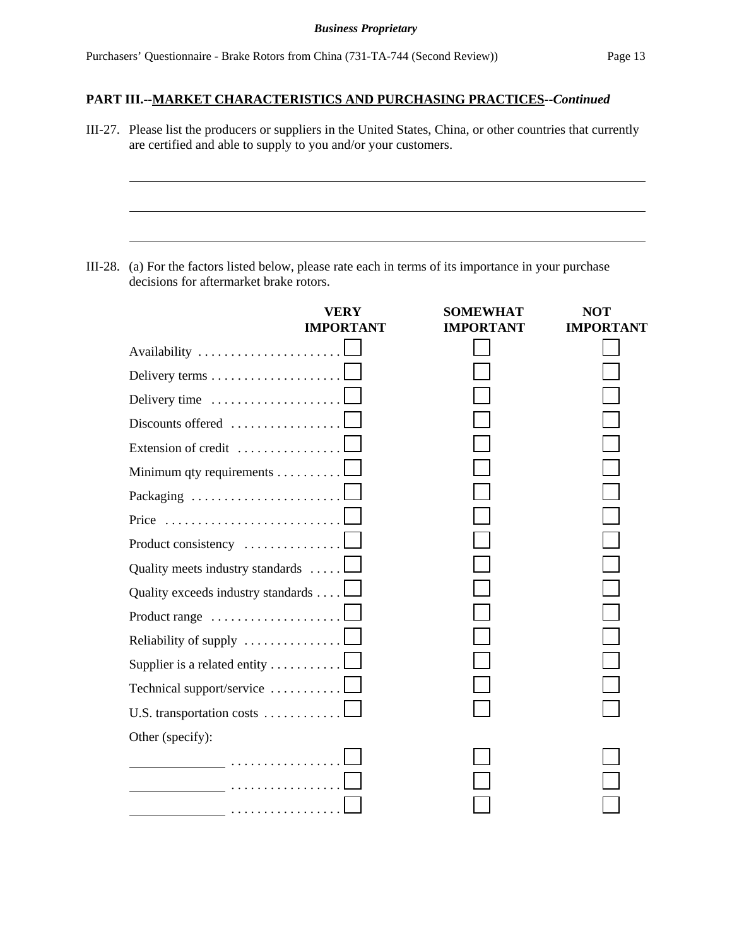III-27. Please list the producers or suppliers in the United States, China, or other countries that currently are certified and able to supply to you and/or your customers.

III-28. (a) For the factors listed below, please rate each in terms of its importance in your purchase decisions for aftermarket brake rotors.

|                                                                 | <b>VERY</b><br><b>IMPORTANT</b> | <b>SOMEWHAT</b><br><b>IMPORTANT</b> | <b>NOT</b><br><b>IMPORTANT</b> |
|-----------------------------------------------------------------|---------------------------------|-------------------------------------|--------------------------------|
| Availability                                                    |                                 |                                     |                                |
| Delivery terms                                                  |                                 |                                     |                                |
| Delivery time                                                   |                                 |                                     |                                |
| $Discounts offered \ldots \ldots \ldots \ldots \ldots$          |                                 |                                     |                                |
| Extension of credit                                             |                                 |                                     |                                |
| Minimum qty requirements                                        |                                 |                                     |                                |
| Packaging $\ldots \ldots \ldots \ldots \ldots \ldots \ldots$    |                                 |                                     |                                |
| Price $\ldots \ldots \ldots \ldots \ldots \ldots \ldots \ldots$ |                                 |                                     |                                |
| Product consistency $\dots \dots \dots \dots \dots$             |                                 |                                     |                                |
| Quality meets industry standards                                |                                 |                                     |                                |
| Quality exceeds industry standards                              |                                 |                                     |                                |
| Product range                                                   |                                 |                                     |                                |
| Reliability of supply                                           |                                 |                                     |                                |
| Supplier is a related entity                                    |                                 |                                     |                                |
| Technical support/service                                       |                                 |                                     |                                |
| U.S. transportation costs                                       |                                 |                                     |                                |
| Other (specify):                                                |                                 |                                     |                                |
| .                                                               |                                 |                                     |                                |
|                                                                 |                                 |                                     |                                |
|                                                                 |                                 |                                     |                                |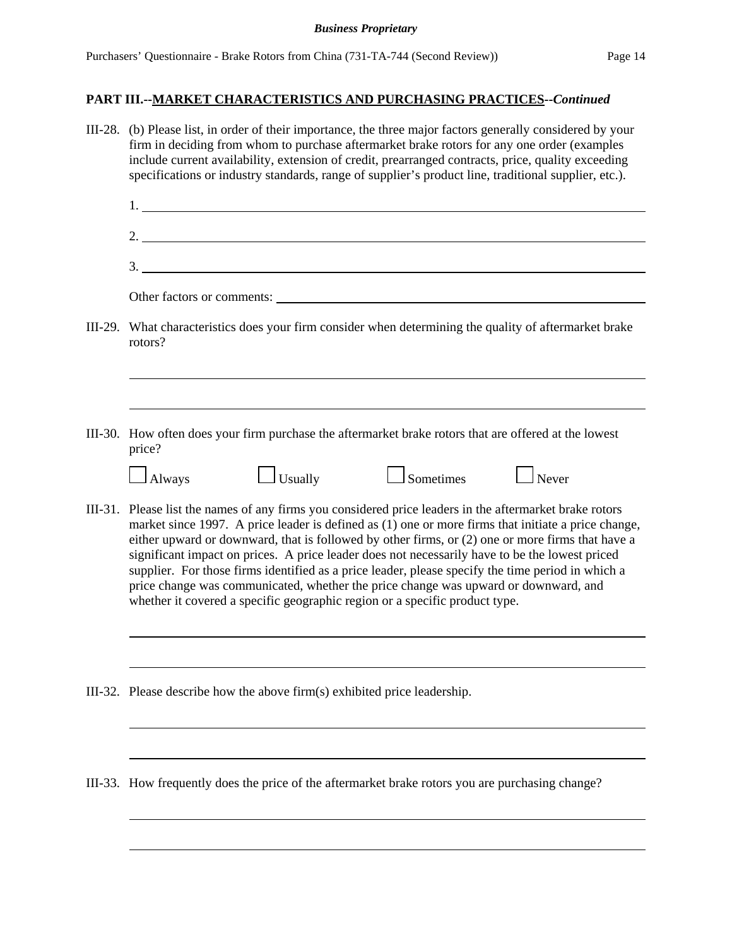| III-28. (b) Please list, in order of their importance, the three major factors generally considered by your<br>firm in deciding from whom to purchase aftermarket brake rotors for any one order (examples<br>include current availability, extension of credit, prearranged contracts, price, quality exceeding<br>specifications or industry standards, range of supplier's product line, traditional supplier, etc.).                                                                                                                                                                                                                                                                        |
|-------------------------------------------------------------------------------------------------------------------------------------------------------------------------------------------------------------------------------------------------------------------------------------------------------------------------------------------------------------------------------------------------------------------------------------------------------------------------------------------------------------------------------------------------------------------------------------------------------------------------------------------------------------------------------------------------|
|                                                                                                                                                                                                                                                                                                                                                                                                                                                                                                                                                                                                                                                                                                 |
| 2. $\overline{\phantom{a}}$                                                                                                                                                                                                                                                                                                                                                                                                                                                                                                                                                                                                                                                                     |
| 3.                                                                                                                                                                                                                                                                                                                                                                                                                                                                                                                                                                                                                                                                                              |
|                                                                                                                                                                                                                                                                                                                                                                                                                                                                                                                                                                                                                                                                                                 |
| III-29. What characteristics does your firm consider when determining the quality of aftermarket brake<br>rotors?                                                                                                                                                                                                                                                                                                                                                                                                                                                                                                                                                                               |
|                                                                                                                                                                                                                                                                                                                                                                                                                                                                                                                                                                                                                                                                                                 |
| III-30. How often does your firm purchase the aftermarket brake rotors that are offered at the lowest<br>price?                                                                                                                                                                                                                                                                                                                                                                                                                                                                                                                                                                                 |
| $\Box$ Always<br>$\Box$ Usually<br>$\Box$ Sometimes<br>$\Box$ Never                                                                                                                                                                                                                                                                                                                                                                                                                                                                                                                                                                                                                             |
| III-31. Please list the names of any firms you considered price leaders in the aftermarket brake rotors<br>market since 1997. A price leader is defined as (1) one or more firms that initiate a price change,<br>either upward or downward, that is followed by other firms, or (2) one or more firms that have a<br>significant impact on prices. A price leader does not necessarily have to be the lowest priced<br>supplier. For those firms identified as a price leader, please specify the time period in which a<br>price change was communicated, whether the price change was upward or downward, and<br>whether it covered a specific geographic region or a specific product type. |
|                                                                                                                                                                                                                                                                                                                                                                                                                                                                                                                                                                                                                                                                                                 |
| III-32. Please describe how the above firm(s) exhibited price leadership.                                                                                                                                                                                                                                                                                                                                                                                                                                                                                                                                                                                                                       |
|                                                                                                                                                                                                                                                                                                                                                                                                                                                                                                                                                                                                                                                                                                 |
| III-33. How frequently does the price of the aftermarket brake rotors you are purchasing change?                                                                                                                                                                                                                                                                                                                                                                                                                                                                                                                                                                                                |
|                                                                                                                                                                                                                                                                                                                                                                                                                                                                                                                                                                                                                                                                                                 |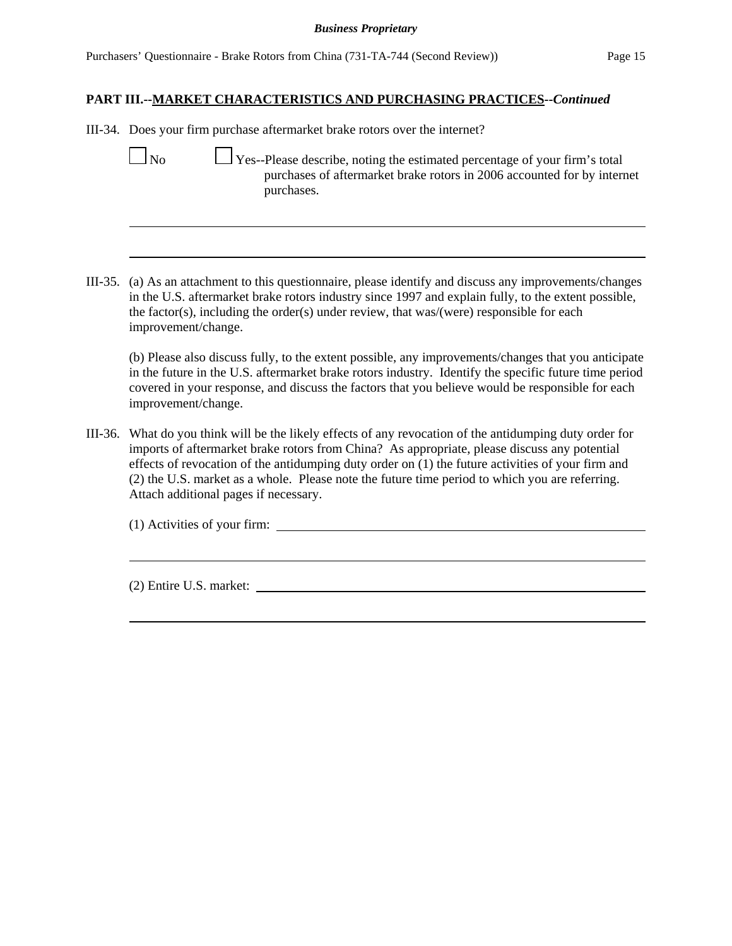III-34. Does your firm purchase aftermarket brake rotors over the internet?

- No  $\Box$  Yes--Please describe, noting the estimated percentage of your firm's total purchases of aftermarket brake rotors in 2006 accounted for by internet purchases.
- III-35. (a) As an attachment to this questionnaire, please identify and discuss any improvements/changes in the U.S. aftermarket brake rotors industry since 1997 and explain fully, to the extent possible, the factor(s), including the order(s) under review, that was/(were) responsible for each improvement/change.

(b) Please also discuss fully, to the extent possible, any improvements/changes that you anticipate in the future in the U.S. aftermarket brake rotors industry. Identify the specific future time period covered in your response, and discuss the factors that you believe would be responsible for each improvement/change.

III-36. What do you think will be the likely effects of any revocation of the antidumping duty order for imports of aftermarket brake rotors from China? As appropriate, please discuss any potential effects of revocation of the antidumping duty order on (1) the future activities of your firm and (2) the U.S. market as a whole. Please note the future time period to which you are referring. Attach additional pages if necessary.

(1) Activities of your firm:

(2) Entire U.S. market: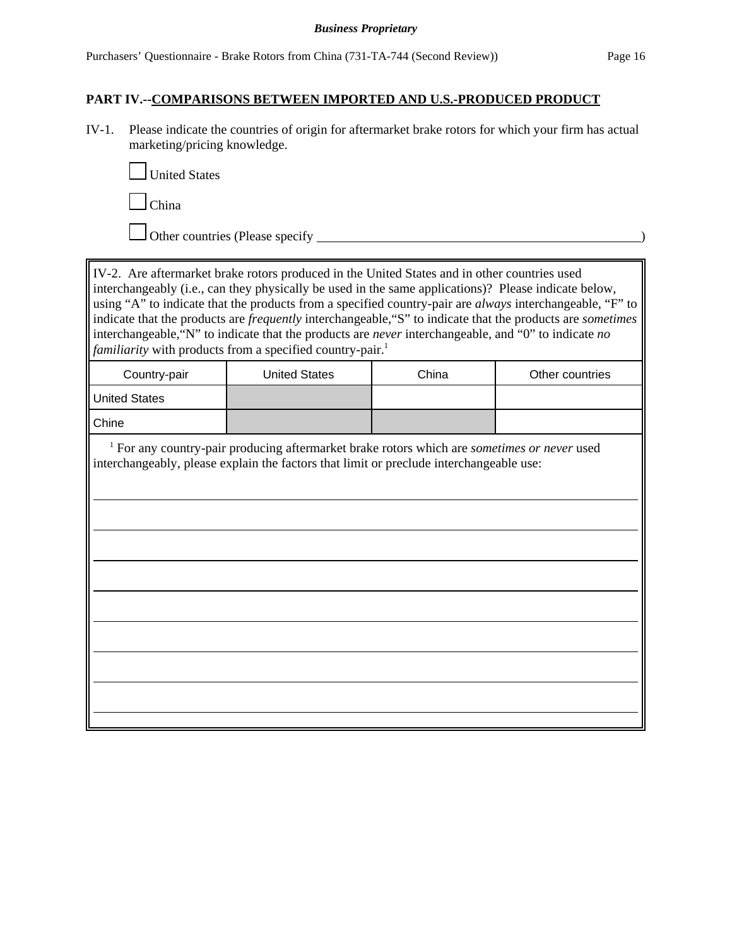#### **PART IV.--COMPARISONS BETWEEN IMPORTED AND U.S.-PRODUCED PRODUCT**

IV-1. Please indicate the countries of origin for aftermarket brake rotors for which your firm has actual marketing/pricing knowledge.



China

Other countries (Please specify <u>example</u> of  $\overline{\phantom{a}}$ )

IV-2. Are aftermarket brake rotors produced in the United States and in other countries used interchangeably (i.e., can they physically be used in the same applications)? Please indicate below, using "A" to indicate that the products from a specified country-pair are *always* interchangeable, "F" to indicate that the products are *frequently* interchangeable,"S" to indicate that the products are *sometimes* interchangeable,"N" to indicate that the products are *never* interchangeable, and "0" to indicate *no familiarity* with products from a specified country-pair.<sup>1</sup> Country-pair | United States | China | Other countries United States Chine <sup>1</sup> For any country-pair producing aftermarket brake rotors which are *sometimes or never* used interchangeably, please explain the factors that limit or preclude interchangeable use: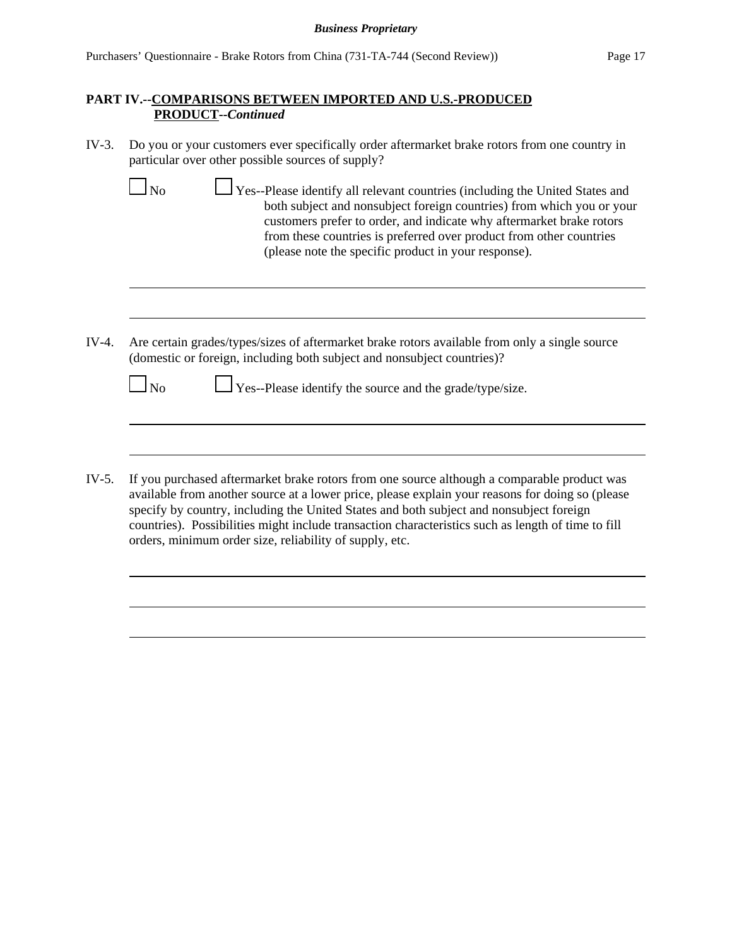## **PART IV.--COMPARISONS BETWEEN IMPORTED AND U.S.-PRODUCED PRODUCT--***Continued*

IV-3. Do you or your customers ever specifically order aftermarket brake rotors from one country in particular over other possible sources of supply?

| □ Yes--Please identify all relevant countries (including the United States and<br>N <sub>o</sub> |  |
|--------------------------------------------------------------------------------------------------|--|
| both subject and nonsubject foreign countries) from which you or your                            |  |
| customers prefer to order, and indicate why aftermarket brake rotors                             |  |
| from these countries is preferred over product from other countries                              |  |
| (please note the specific product in your response).                                             |  |

IV-4. Are certain grades/types/sizes of aftermarket brake rotors available from only a single source (domestic or foreign, including both subject and nonsubject countries)?

| $\Box$ Yes--Please identify the source and the grade/type/size.<br>N <sub>o</sub> |
|-----------------------------------------------------------------------------------|
|-----------------------------------------------------------------------------------|

IV-5. If you purchased aftermarket brake rotors from one source although a comparable product was available from another source at a lower price, please explain your reasons for doing so (please specify by country, including the United States and both subject and nonsubject foreign countries). Possibilities might include transaction characteristics such as length of time to fill orders, minimum order size, reliability of supply, etc.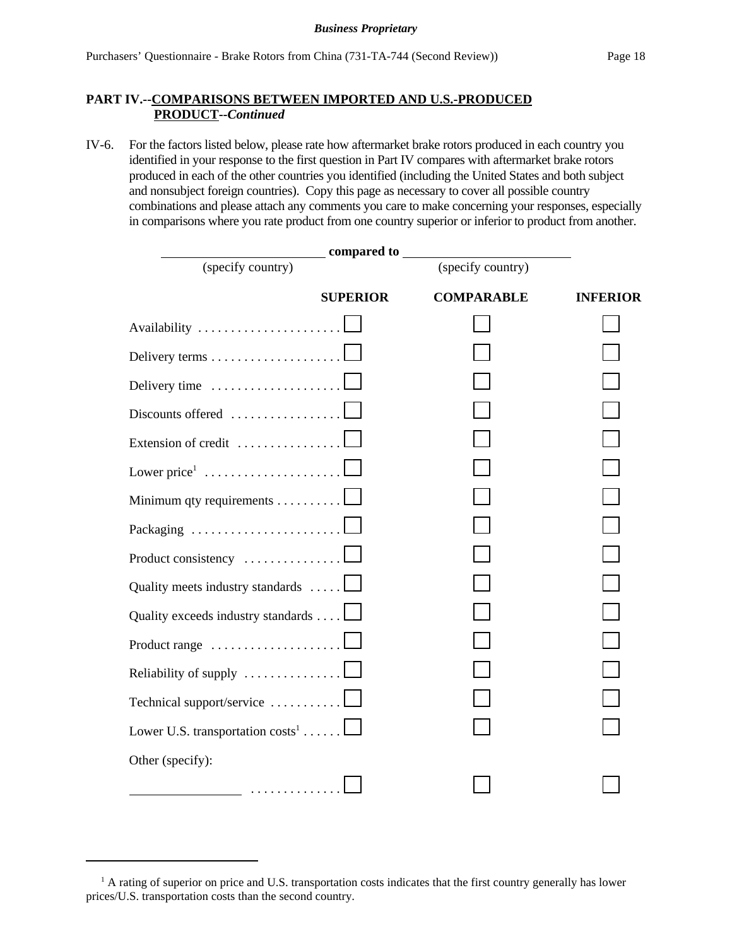### **PART IV.--COMPARISONS BETWEEN IMPORTED AND U.S.-PRODUCED PRODUCT--***Continued*

IV-6. For the factors listed below, please rate how aftermarket brake rotors produced in each country you identified in your response to the first question in Part IV compares with aftermarket brake rotors produced in each of the other countries you identified (including the United States and both subject and nonsubject foreign countries). Copy this page as necessary to cover all possible country combinations and please attach any comments you care to make concerning your responses, especially in comparisons where you rate product from one country superior or inferior to product from another.

| _ compared to ____                                      |                   |                 |
|---------------------------------------------------------|-------------------|-----------------|
| (specify country)                                       | (specify country) |                 |
| <b>SUPERIOR</b>                                         | <b>COMPARABLE</b> | <b>INFERIOR</b> |
| Availability                                            |                   |                 |
|                                                         |                   |                 |
| Delivery time                                           |                   |                 |
| Discounts offered                                       |                   |                 |
| Extension of credit                                     |                   |                 |
| Lower price $1, \ldots, \ldots, \ldots, \ldots, \ldots$ |                   |                 |
| Minimum qty requirements                                |                   |                 |
| Packaging                                               |                   |                 |
| Product consistency                                     |                   |                 |
| Quality meets industry standards                        |                   |                 |
| Quality exceeds industry standards                      |                   |                 |
| Product range                                           |                   |                 |
| Reliability of supply                                   |                   |                 |
| Technical support/service                               |                   |                 |
| Lower U.S. transportation $costs^1$                     |                   |                 |
| Other (specify):                                        |                   |                 |
| <u>.</u>                                                |                   |                 |

<sup>&</sup>lt;sup>1</sup> A rating of superior on price and U.S. transportation costs indicates that the first country generally has lower prices/U.S. transportation costs than the second country.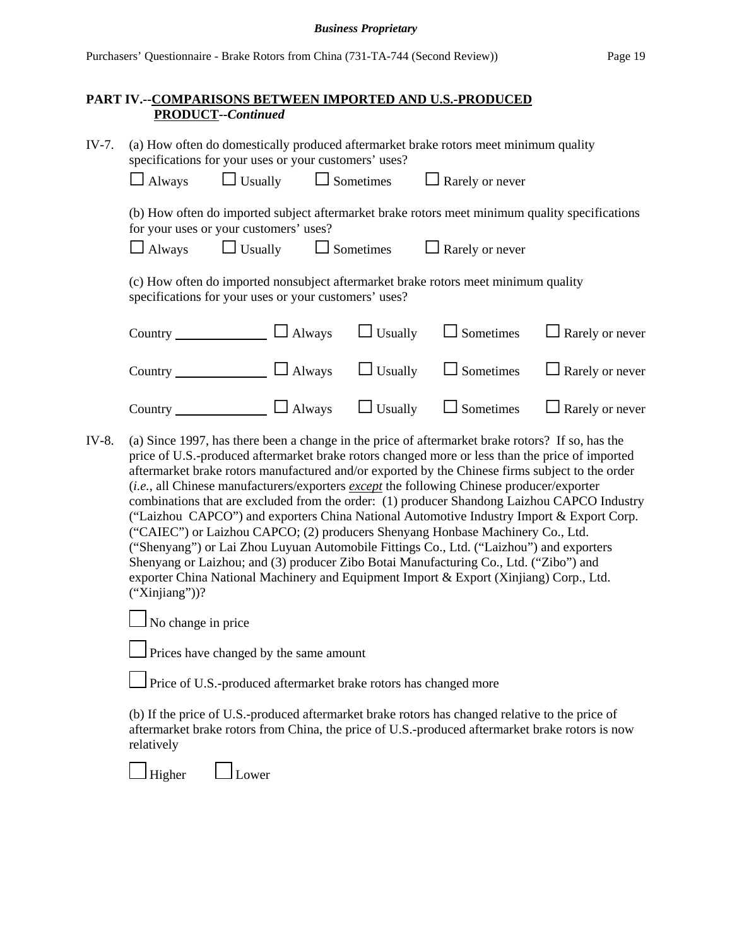## **PART IV.--COMPARISONS BETWEEN IMPORTED AND U.S.-PRODUCED PRODUCT--***Continued*

| $IV-7.$ | (a) How often do domestically produced aftermarket brake rotors meet minimum quality<br>specifications for your uses or your customers' uses?<br>$\Box$ Usually<br>$\Box$ Sometimes<br>$\Box$ Rarely or never<br>$\Box$ Always                                                                                                                                                                                                                                                                                                                                                                                                                                                                                                                                                                                                                                                                                                                                                      |  |  |  |
|---------|-------------------------------------------------------------------------------------------------------------------------------------------------------------------------------------------------------------------------------------------------------------------------------------------------------------------------------------------------------------------------------------------------------------------------------------------------------------------------------------------------------------------------------------------------------------------------------------------------------------------------------------------------------------------------------------------------------------------------------------------------------------------------------------------------------------------------------------------------------------------------------------------------------------------------------------------------------------------------------------|--|--|--|
|         | (b) How often do imported subject aftermarket brake rotors meet minimum quality specifications<br>for your uses or your customers' uses?<br>$\Box$ Usually $\Box$ Sometimes<br>$\Box$ Rarely or never<br>$\Box$ Always                                                                                                                                                                                                                                                                                                                                                                                                                                                                                                                                                                                                                                                                                                                                                              |  |  |  |
|         | (c) How often do imported nonsubject aftermarket brake rotors meet minimum quality<br>specifications for your uses or your customers' uses?                                                                                                                                                                                                                                                                                                                                                                                                                                                                                                                                                                                                                                                                                                                                                                                                                                         |  |  |  |
|         | Country $\Box$ Always<br>$\Box$ Usually<br>$\Box$ Sometimes<br>$\Box$ Rarely or never                                                                                                                                                                                                                                                                                                                                                                                                                                                                                                                                                                                                                                                                                                                                                                                                                                                                                               |  |  |  |
|         | $\Box$ Usually<br>Country $\Box$ Always<br>$\Box$ Sometimes<br>$\Box$ Rarely or never                                                                                                                                                                                                                                                                                                                                                                                                                                                                                                                                                                                                                                                                                                                                                                                                                                                                                               |  |  |  |
|         | Country $\Box$ Always $\Box$ Usually<br>$\Box$ Sometimes<br>$\Box$ Rarely or never                                                                                                                                                                                                                                                                                                                                                                                                                                                                                                                                                                                                                                                                                                                                                                                                                                                                                                  |  |  |  |
| IV-8.   | (a) Since 1997, has there been a change in the price of aftermarket brake rotors? If so, has the<br>price of U.S.-produced aftermarket brake rotors changed more or less than the price of imported<br>aftermarket brake rotors manufactured and/or exported by the Chinese firms subject to the order<br>(i.e., all Chinese manufacturers/exporters except the following Chinese producer/exporter<br>combinations that are excluded from the order: (1) producer Shandong Laizhou CAPCO Industry<br>("Laizhou CAPCO") and exporters China National Automotive Industry Import & Export Corp.<br>("CAIEC") or Laizhou CAPCO; (2) producers Shenyang Honbase Machinery Co., Ltd.<br>("Shenyang") or Lai Zhou Luyuan Automobile Fittings Co., Ltd. ("Laizhou") and exporters<br>Shenyang or Laizhou; and (3) producer Zibo Botai Manufacturing Co., Ltd. ("Zibo") and<br>exporter China National Machinery and Equipment Import & Export (Xinjiang) Corp., Ltd.<br>$("Xinjiang"))$ ? |  |  |  |
|         | No change in price                                                                                                                                                                                                                                                                                                                                                                                                                                                                                                                                                                                                                                                                                                                                                                                                                                                                                                                                                                  |  |  |  |
|         | Prices have changed by the same amount                                                                                                                                                                                                                                                                                                                                                                                                                                                                                                                                                                                                                                                                                                                                                                                                                                                                                                                                              |  |  |  |
|         | $\Box$ Price of U.S.-produced aftermarket brake rotors has changed more                                                                                                                                                                                                                                                                                                                                                                                                                                                                                                                                                                                                                                                                                                                                                                                                                                                                                                             |  |  |  |
|         | (b) If the price of U.S.-produced aftermarket brake rotors has changed relative to the price of<br>aftermarket brake rotors from China, the price of U.S.-produced aftermarket brake rotors is now<br>relatively                                                                                                                                                                                                                                                                                                                                                                                                                                                                                                                                                                                                                                                                                                                                                                    |  |  |  |
|         | Higher<br>Lower                                                                                                                                                                                                                                                                                                                                                                                                                                                                                                                                                                                                                                                                                                                                                                                                                                                                                                                                                                     |  |  |  |